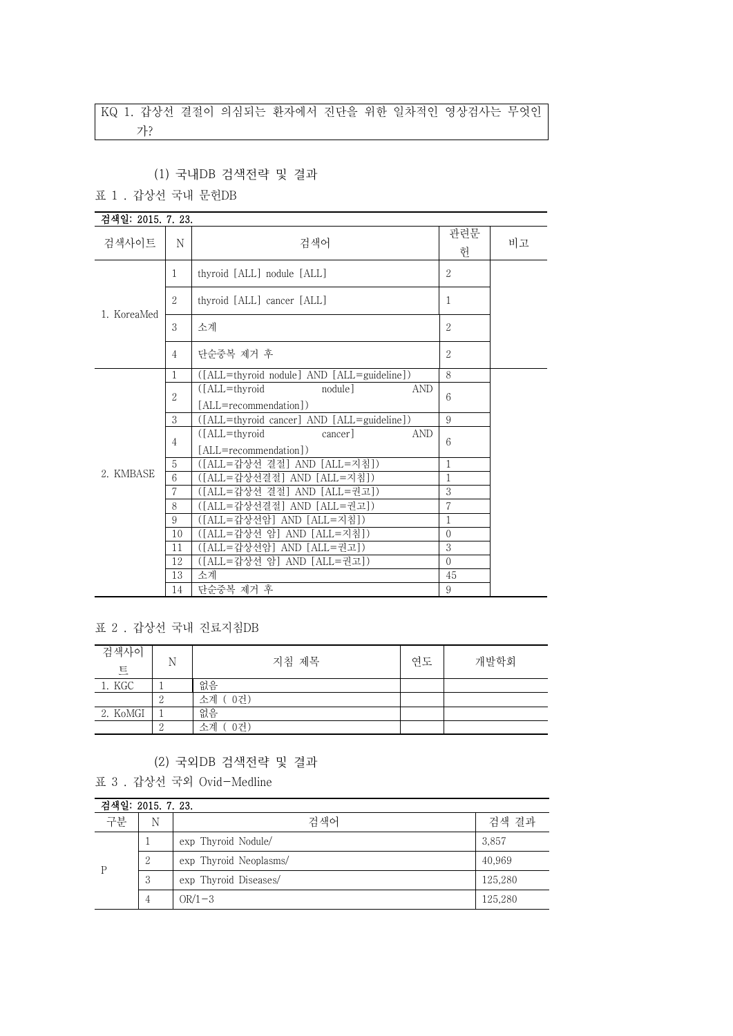# KQ 1. 갑상선 결절이 의심되는 환자에서 진단을 위한 일차적인 영상검사는 무엇인 가?

#### (1) 국내DB 검색전략 및 결과

#### 표 1 . 갑상선 국내 문헌DB

| 검색일: 2015. 7. 23. |                |                                                                       |                |    |
|-------------------|----------------|-----------------------------------------------------------------------|----------------|----|
| 검색사이트             | N              | 검색어                                                                   | 관련문<br>헌       | 비고 |
|                   | $\mathbf{1}$   | thyroid [ALL] nodule [ALL]                                            | $\overline{2}$ |    |
| 1. KoreaMed       | $\overline{2}$ | thyroid [ALL] cancer [ALL]                                            | 1              |    |
|                   | 3              | 소계                                                                    | $\overline{2}$ |    |
|                   | $\overline{4}$ | 단순중복 제거 후                                                             | $\overline{2}$ |    |
|                   | 1              | ([ALL=thyroid nodule] AND [ALL=guideline])                            | 8              |    |
|                   | $\overline{2}$ | $(IALL=thvroid$<br>nodule<br><b>AND</b>                               | 6              |    |
|                   |                | [ALL=recommendation])                                                 |                |    |
|                   | 3              | ([ALL=thyroid cancer] AND [ALL=guideline])                            | 9              |    |
|                   | $\overline{4}$ | ([ALL=thyroid]<br>cancer <sup>1</sup><br>AND<br>[ALL=recommendation]) | 6              |    |
|                   | $\overline{5}$ | ([ALL=갑상선 결절] AND [ALL=지침])                                           | 1              |    |
| 2. KMBASE         | 6              | ([ALL=갑상선결절] AND [ALL=지침])                                            | $\mathbf{1}$   |    |
|                   | 7              | ([ALL=갑상선 결절] AND [ALL=권고])                                           | 3              |    |
|                   | 8              | ([ALL=갑상선결절] AND [ALL=권고])                                            | 7              |    |
|                   | 9              | ([ALL=갑상선암] AND [ALL=지침])                                             | 1              |    |
|                   | 10             | ([ALL=갑상선 암] AND [ALL=지침])                                            | $\Omega$       |    |
|                   | 11             | ([ALL=갑상선암] AND [ALL=권고])                                             | 3              |    |
|                   | 12             | ([ALL=갑상선 암] AND [ALL=권고])                                            | $\Omega$       |    |
|                   | 13             | 소계                                                                    | 45             |    |
|                   | 14             | 단순중복 제거 후                                                             | 9              |    |

표 2 . 갑상선 국내 진료지침DB

| 검색사이<br>트 | Ν | 지침 제목         | 연도 | 개발학회 |
|-----------|---|---------------|----|------|
| 1. KGC    |   | 없음            |    |      |
|           |   | 소계 (<br>( 0건) |    |      |
| 2. KoMGI  |   | 없음            |    |      |
|           |   | 소계<br>0건)     |    |      |

#### (2) 국외DB 검색전략 및 결과

표 3 . 갑상선 국외 Ovid-Medline

| 검색일: 2015, 7, 23, |   |                        |         |  |
|-------------------|---|------------------------|---------|--|
| 구분                | N | 검색어                    | 검색 결과   |  |
| D                 |   | exp Thyroid Nodule/    | 3,857   |  |
|                   | 2 | exp Thyroid Neoplasms/ | 40.969  |  |
|                   | 3 | exp Thyroid Diseases/  | 125,280 |  |
|                   | 4 | $OR/1-3$               | 125,280 |  |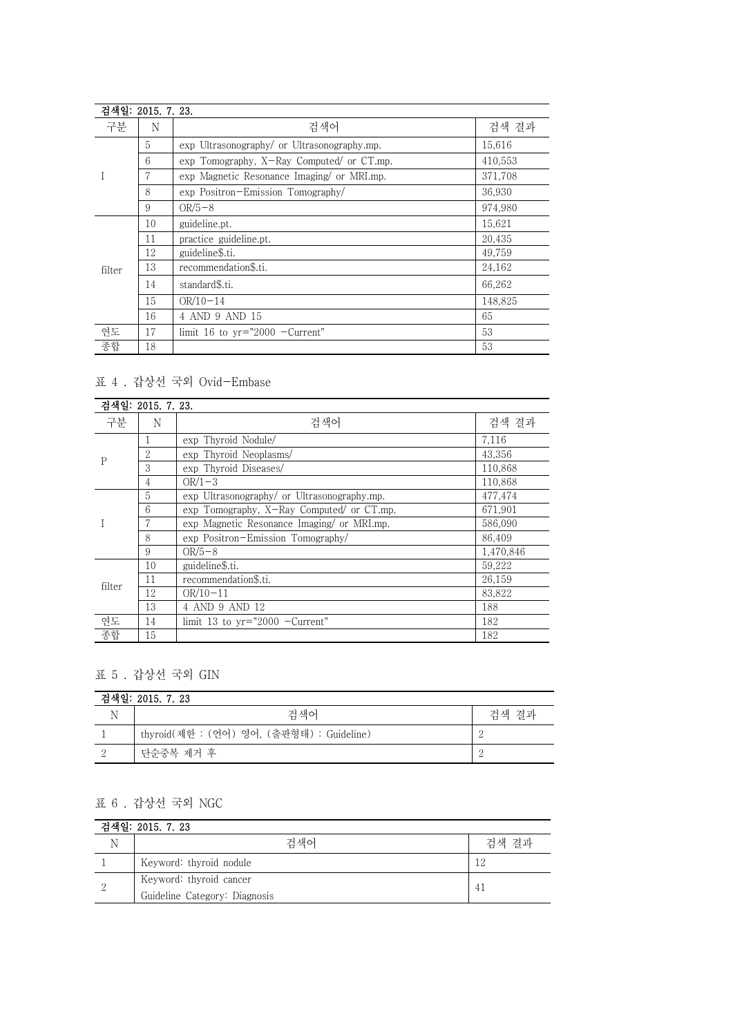| 검색일: 2015. 7. 23. |    |                                             |         |  |
|-------------------|----|---------------------------------------------|---------|--|
| 구분                | N  | 검색어                                         | 검색 결과   |  |
|                   | 5  | exp Ultrasonography/ or Ultrasonography.mp. | 15,616  |  |
|                   | 6  | exp Tomography, X-Ray Computed/ or CT.mp.   | 410,553 |  |
|                   |    | exp Magnetic Resonance Imaging or MRI.mp.   | 371,708 |  |
|                   | 8  | exp Positron-Emission Tomography/           | 36.930  |  |
|                   | 9  | $OR/5-8$                                    | 974,980 |  |
|                   | 10 | guideline.pt.                               | 15,621  |  |
|                   | 11 | practice guideline.pt.                      | 20,435  |  |
|                   | 12 | guideline\$.ti.                             | 49.759  |  |
| filter            | 13 | recommendation\$.ti.                        | 24,162  |  |
|                   | 14 | standard\$.ti.                              | 66,262  |  |
|                   | 15 | $OR/10-14$                                  | 148,825 |  |
|                   | 16 | 4 AND 9 AND 15                              | 65      |  |
| 연도                | 17 | limit 16 to $yr="2000$ -Current"            | 53      |  |
| 종합                | 18 |                                             | 53      |  |

### 표 4 . 갑상선 국외 Ovid-Embase

| 검색일: 2015. 7. 23. |                |                                             |           |
|-------------------|----------------|---------------------------------------------|-----------|
| 구분                | N              | 검색어                                         | 검색 결과     |
| P                 |                | exp Thyroid Nodule/                         | 7,116     |
|                   | 2              | exp Thyroid Neoplasms/                      | 43.356    |
|                   | 3              | exp Thyroid Diseases/                       | 110,868   |
|                   | $\overline{4}$ | $OR/1-3$                                    | 110.868   |
|                   | 5              | exp Ultrasonography/ or Ultrasonography.mp. | 477,474   |
|                   | 6              | exp Tomography, X-Ray Computed/ or CT.mp.   | 671,901   |
|                   |                | exp Magnetic Resonance Imaging/ or MRI.mp.  | 586.090   |
|                   | 8              | exp Positron-Emission Tomography/           | 86.409    |
|                   | 9              | $OR/5-8$                                    | 1,470,846 |
|                   | 10             | guideline\$.ti.                             | 59,222    |
| filter            | 11             | recommendation\$.ti.                        | 26,159    |
|                   | 12             | $OR/10-11$                                  | 83,822    |
|                   | 13             | 4 AND 9 AND 12                              | 188       |
| 연도                | 14             | limit 13 to $vr="2000$ -Current"            | 182       |
| 종합                | 15             |                                             | 182       |

#### 표 5 . 갑상선 국외 GIN

| 검색일: 2015. 7. 23 |                                           |       |  |
|------------------|-------------------------------------------|-------|--|
|                  | 검색어                                       | 검색 결과 |  |
|                  | thyroid(제한 : (언어) 영어, (출판형태) : Guideline) | - 0   |  |
|                  | 단순중복 제거 후                                 | ാ     |  |

## 표 6 . 갑상선 국외 NGC

| 검색일: 2015. 7. 23 |                               |       |  |
|------------------|-------------------------------|-------|--|
|                  | 검색어                           | 검색 결과 |  |
|                  | Keyword: thyroid nodule       | 12    |  |
| 2                | Keyword: thyroid cancer       |       |  |
|                  | Guideline Category: Diagnosis |       |  |